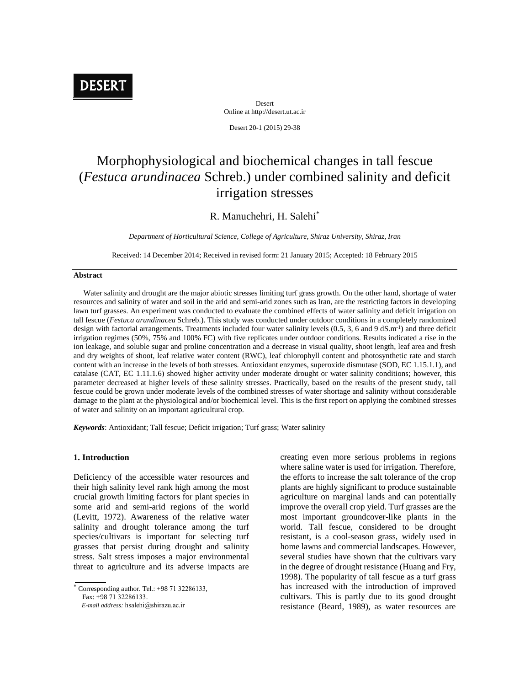

Desert Online at http://desert.ut.ac.ir

Desert 20-1 (2015) 29-38

# Morphophysiological and biochemical changes in tall fescue (*Festuca arundinacea* Schreb.) under combined salinity and deficit irrigation stresses

# R. Manuchehri, H. Salehi\*

*Department of Horticultural Science, College of Agriculture, Shiraz University, Shiraz, Iran*

Received: 14 December 2014; Received in revised form: 21 January 2015; Accepted: 18 February 2015

#### **Abstract**

Water salinity and drought are the major abiotic stresses limiting turf grass growth. On the other hand, shortage of water resources and salinity of water and soil in the arid and semi-arid zones such as Iran, are the restricting factors in developing lawn turf grasses. An experiment was conducted to evaluate the combined effects of water salinity and deficit irrigation on tall fescue (*Festuca arundinacea* Schreb.). This study was conducted under outdoor conditions in a completely randomized design with factorial arrangements. Treatments included four water salinity levels (0.5, 3, 6 and 9 dS.m<sup>-1</sup>) and three deficit irrigation regimes (50%, 75% and 100% FC) with five replicates under outdoor conditions. Results indicated a rise in the ion leakage, and soluble sugar and proline concentration and a decrease in visual quality, shoot length, leaf area and fresh and dry weights of shoot, leaf relative water content (RWC), leaf chlorophyll content and photosynthetic rate and starch content with an increase in the levels of both stresses. Antioxidant enzymes, superoxide dismutase (SOD, EC 1.15.1.1), and catalase (CAT, EC 1.11.1.6) showed higher activity under moderate drought or water salinity conditions; however, this parameter decreased at higher levels of these salinity stresses. Practically, based on the results of the present study, tall fescue could be grown under moderate levels of the combined stresses of water shortage and salinity without considerable damage to the plant at the physiological and/or biochemical level. This is the first report on applying the combined stresses of water and salinity on an important agricultural crop.

*Keywords*: Antioxidant; Tall fescue; Deficit irrigation; Turf grass; Water salinity

### **1. Introduction**

Deficiency of the accessible water resources and their high salinity level rank high among the most crucial growth limiting factors for plant species in some arid and semi-arid regions of the world (Levitt, 1972). Awareness of the relative water salinity and drought tolerance among the turf species/cultivars is important for selecting turf grasses that persist during drought and salinity stress. Salt stress imposes a major environmental threat to agriculture and its adverse impacts are

Corresponding author. Tel.: +98 71 32286133,

Fax: +98 71 32286133.

*E-mail address:* hsalehi@shirazu.ac.ir

creating even more serious problems in regions where saline water is used for irrigation. Therefore, the efforts to increase the salt tolerance of the crop plants are highly significant to produce sustainable agriculture on marginal lands and can potentially improve the overall crop yield. Turf grasses are the most important groundcover-like plants in the world. Tall fescue, considered to be drought resistant, is a cool-season grass, widely used in home lawns and commercial landscapes. However, several studies have shown that the cultivars vary in the degree of drought resistance (Huang and Fry, 1998). The popularity of tall fescue as a turf grass has increased with the introduction of improved cultivars. This is partly due to its good drought resistance (Beard, 1989), as water resources are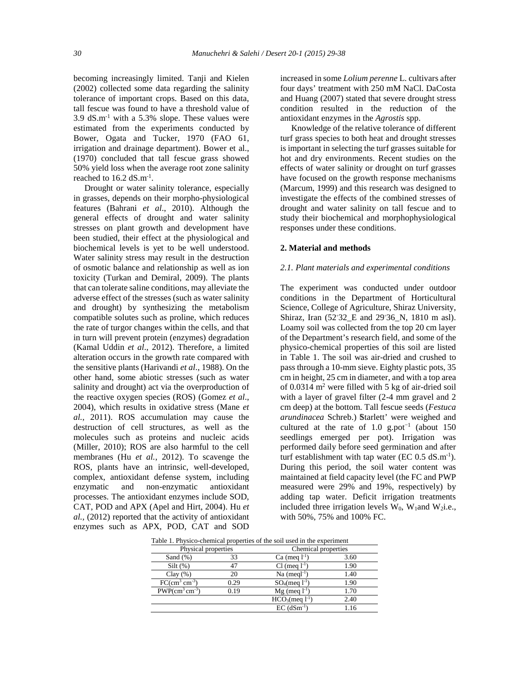becoming increasingly limited. Tanji and Kielen (2002) collected some data regarding the salinity tolerance of important crops. Based on this data, tall fescue was found to have a threshold value of 3.9 dS.m-1 with a 5.3% slope. These values were estimated from the experiments conducted by Bower, Ogata and Tucker, 1970 (FAO 61, irrigation and drainage department). Bower et al., (1970) concluded that tall fescue grass showed 50% yield loss when the average root zone salinity reached to  $16.2$  dS.m<sup>-1</sup>.

Drought or water salinity tolerance, especially in grasses, depends on their morpho-physiological features (Bahrani *et al*., 2010). Although the general effects of drought and water salinity stresses on plant growth and development have been studied, their effect at the physiological and biochemical levels is yet to be well understood. Water salinity stress may result in the destruction of osmotic balance and relationship as well as ion toxicity (Turkan and Demiral, 2009). The plants that can tolerate saline conditions, may alleviate the adverse effect of the stresses (such as water salinity and drought) by synthesizing the metabolism compatible solutes such as proline, which reduces the rate of turgor changes within the cells, and that in turn will prevent protein (enzymes) degradation (Kamal Uddin *et al*., 2012). Therefore, a limited alteration occurs in the growth rate compared with the sensitive plants (Harivandi *et al*., 1988). On the other hand, some abiotic stresses (such as water salinity and drought) act via the overproduction of the reactive oxygen species (ROS) (Gomez *et al*., 2004), which results in oxidative stress (Mane *et al.,* 2011). ROS accumulation may cause the destruction of cell structures, as well as the molecules such as proteins and nucleic acids (Miller, 2010); ROS are also harmful to the cell membranes (Hu *et al.*, 2012). To scavenge the ROS, plants have an intrinsic, well-developed, complex, antioxidant defense system, including enzymatic and non-enzymatic antioxidant processes. The antioxidant enzymes include SOD, CAT, POD and APX (Apel and Hirt, 2004). Hu *et al.,* (2012) reported that the activity of antioxidant enzymes such as APX, POD, CAT and SOD

increased in some *Lolium perenne* L. cultivars after four days' treatment with 250 mM NaCl. DaCosta and Huang (2007) stated that severe drought stress condition resulted in the reduction of the antioxidant enzymes in the *Agrostis* spp.

Knowledge of the relative tolerance of different turf grass species to both heat and drought stresses is important in selecting the turf grasses suitable for hot and dry environments. Recent studies on the effects of water salinity or drought on turf grasses have focused on the growth response mechanisms (Marcum, 1999) and this research was designed to investigate the effects of the combined stresses of drought and water salinity on tall fescue and to study their biochemical and morphophysiological responses under these conditions.

#### **2. Material and methods**

#### *2.1. Plant materials and experimental conditions*

The experiment was conducted under outdoor conditions in the Department of Horticultural Science, College of Agriculture, Shiraz University, Shiraz, Iran (52 32 E and 29 36 N, 1810 m asl). Loamy soil was collected from the top 20 cm layer of the Department's research field, and some of the physico-chemical properties of this soil are listed in Table 1. The soil was air-dried and crushed to pass through a 10-mm sieve. Eighty plastic pots, 35 cm in height, 25 cm in diameter, and with a top area of  $0.0314$  m<sup>2</sup> were filled with 5 kg of air-dried soil with a layer of gravel filter (2-4 mm gravel and 2 cm deep) at the bottom. Tall fescue seeds (*Festuca arundinacea* Schreb.) Starlett' were weighed and cultured at the rate of 1.0 g.pot<sup>-1</sup> (about 150 seedlings emerged per pot). Irrigation was performed daily before seed germination and after turf establishment with tap water (EC  $0.5 \text{ dS.m}^{-1}$ ). During this period, the soil water content was maintained at field capacity level (the FC and PWP measured were 29% and 19%, respectively) by adding tap water. Deficit irrigation treatments included three irrigation levels  $\dot{W}_0$ ,  $W_1$ and  $W_2$ i.e., with 50%, 75% and 100% FC.

| Table 1. Physico-chemical properties of the soil used in the experiment |      |                            |      |  |
|-------------------------------------------------------------------------|------|----------------------------|------|--|
| Physical properties                                                     |      | Chemical properties        |      |  |
| Sand $(\%)$                                                             | 33   | Ca (meq $l^{-1}$ )         | 3.60 |  |
| $Silt(\%)$                                                              | 47   | $Cl$ (meg $1^{-1}$ )       | 1.90 |  |
| Clay $(\% )$                                                            | 20   | $Na$ (megl <sup>-1</sup> ) | 1.40 |  |
| $FC(cm3 cm-3)$                                                          | 0.29 | $SO_4$ (meg $1^{-1}$ )     | 1.90 |  |
| $PWP(cm3 cm-3)$                                                         | 0.19 | $Mg$ (meq $l^{-1}$ )       | 1.70 |  |
|                                                                         |      | $HCO3(meq 1-1)$            | 2.40 |  |
|                                                                         |      | $EC$ (dSm <sup>-1</sup> )  | 1.16 |  |

Table 1. Physico-chemical properties of the soil used in the experiment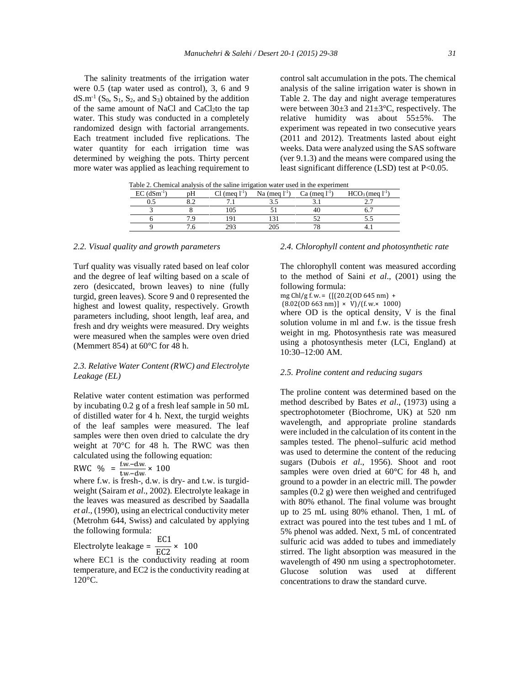The salinity treatments of the irrigation water were 0.5 (tap water used as control), 3, 6 and 9  $dS.m<sup>-1</sup> (S<sub>0</sub>, S<sub>1</sub>, S<sub>2</sub>, and S<sub>3</sub>) obtained by the addition$ of the same amount of NaCl and CaCl<sub>2</sub>to the tap water. This study was conducted in a completely randomized design with factorial arrangements. Each treatment included five replications. The water quantity for each irrigation time was determined by weighing the pots. Thirty percent more water was applied as leaching requirement to control salt accumulation in the pots. The chemical analysis of the saline irrigation water is shown in Table 2. The day and night average temperatures were between 30±3 and 21±3°C, respectively. The relative humidity was about  $55\pm5\%$ . The experiment was repeated in two consecutive years (2011 and 2012). Treatments lasted about eight weeks. Data were analyzed using the SAS software (ver 9.1.3) and the means were compared using the least significant difference (LSD) test at P<0.05.

| Table 2. Chemical analysis of the same imigation water used in the experiment |    |                      |                 |                 |                        |
|-------------------------------------------------------------------------------|----|----------------------|-----------------|-----------------|------------------------|
| $EC$ (dSm <sup>-1</sup> )                                                     | nН | $Cl$ (mea $1^{-1}$ ) | Na (meg $1-1$ ) | Ca (meg $1-1$ ) | $HCO3$ (meq $1^{-1}$ ) |
|                                                                               |    |                      |                 |                 |                        |
|                                                                               |    |                      |                 |                 |                        |
|                                                                               |    |                      |                 |                 |                        |
|                                                                               |    |                      |                 |                 |                        |
|                                                                               |    |                      |                 |                 |                        |

Table 2. Chemical analysis of the saline irrigation water used in the experiment

#### *2.2. Visual quality and growth parameters*

Turf quality was visually rated based on leaf color and the degree of leaf wilting based on a scale of zero (desiccated, brown leaves) to nine (fully turgid, green leaves). Score 9 and 0 represented the highest and lowest quality, respectively. Growth parameters including, shoot length, leaf area, and fresh and dry weights were measured. Dry weights were measured when the samples were oven dried (Memmert 854) at 60°C for 48 h.

# *2.3. Relative Water Content (RWC) and Electrolyte Leakage (EL)*

Relative water content estimation was performed by incubating 0.2 g of a fresh leaf sample in 50 mL of distilled water for 4 h. Next, the turgid weights of the leaf samples were measured. The leaf samples were then oven dried to calculate the dry weight at 70°C for 48 h. The RWC was then calculated using the following equation:

$$
RWC \quad \% \quad = \frac{t \, w - \, dw}{tw - \, dw} \times \, 100
$$

where f.w. is fresh-, d.w. is dry- and t.w. is turgid weight (Sairam *et al*., 2002). Electrolyte leakage in the leaves was measured as described by Saadalla *et al*., (1990), using an electrical conductivity meter (Metrohm 644, Swiss) and calculated by applying the following formula:

Electrolyte leakage =  $\frac{EC1}{EC2} \times 100$ 

where EC1 is the conductivity reading at room temperature, and EC2 is the conductivity reading at 120°C.

## *2.4. Chlorophyll content and photosynthetic rate*

The chlorophyll content was measured according to the method of Saini *et al*., (2001) using the following formula:

mg Chl/g f.w. = ([(20.2(OD 645 nm) +

 $(8.02(0D\,663\,\text{nm})] \times V$ /(f.w.× 1000)

where OD is the optical density, V is the final solution volume in ml and f.w. is the tissue fresh weight in mg. Photosynthesis rate was measured using a photosynthesis meter (LCi, England) at 10:30–12:00 AM.

#### *2.5. Proline content and reducing sugars*

The proline content was determined based on the method described by Bates *et al*., (1973) using a spectrophotometer (Biochrome, UK) at 520 nm wavelength, and appropriate proline standards were included in the calculation of its content in the samples tested. The phenol–sulfuric acid method was used to determine the content of the reducing sugars (Dubois *et al*., 1956). Shoot and root samples were oven dried at 60°C for 48 h, and ground to a powder in an electric mill. The powder samples (0.2 g) were then weighed and centrifuged with 80% ethanol. The final volume was brought up to 25 mL using 80% ethanol. Then, 1 mL of extract was poured into the test tubes and 1 mL of 5% phenol was added. Next, 5 mL of concentrated sulfuric acid was added to tubes and immediately stirred. The light absorption was measured in the wavelength of 490 nm using a spectrophotometer. Glucose solution was used at different concentrations to draw the standard curve.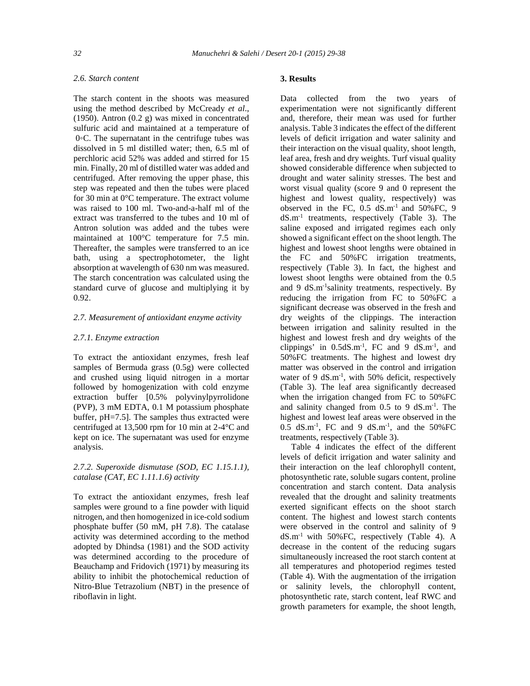# *2.6. Starch content*

The starch content in the shoots was measured using the method described by McCready *et al*., (1950). Antron (0.2 g) was mixed in concentrated sulfuric acid and maintained at a temperature of 0 C. The supernatant in the centrifuge tubes was dissolved in 5 ml distilled water; then, 6.5 ml of perchloric acid 52% was added and stirred for 15 min. Finally, 20 ml of distilled water was added and centrifuged. After removing the upper phase, this step was repeated and then the tubes were placed for 30 min at 0°C temperature. The extract volume was raised to 100 ml. Two-and-a-half ml of the extract was transferred to the tubes and 10 ml of Antron solution was added and the tubes were maintained at 100°C temperature for 7.5 min. Thereafter, the samples were transferred to an ice bath, using a spectrophotometer, the light absorption at wavelength of 630 nm was measured. The starch concentration was calculated using the standard curve of glucose and multiplying it by 0.92.

#### *2.7. Measurement of antioxidant enzyme activity*

#### *2.7.1. Enzyme extraction*

To extract the antioxidant enzymes, fresh leaf samples of Bermuda grass (0.5g) were collected and crushed using liquid nitrogen in a mortar followed by homogenization with cold enzyme extraction buffer [0.5% polyvinylpyrrolidone (PVP), 3 mM EDTA, 0.1 M potassium phosphate buffer, pH=7.5]. The samples thus extracted were centrifuged at 13,500 rpm for 10 min at 2-4°C and kept on ice. The supernatant was used for enzyme analysis.

# *2.7.2. Superoxide dismutase (SOD, EC 1.15.1.1), catalase (CAT, EC 1.11.1.6) activity*

To extract the antioxidant enzymes, fresh leaf samples were ground to a fine powder with liquid nitrogen, and then homogenized in ice-cold sodium phosphate buffer (50 mM, pH 7.8). The catalase activity was determined according to the method adopted by Dhindsa (1981) and the SOD activity was determined according to the procedure of Beauchamp and Fridovich (1971) by measuring its ability to inhibit the photochemical reduction of Nitro-Blue Tetrazolium (NBT) in the presence of riboflavin in light.

## **3. Results**

Data collected from the two years of experimentation were not significantly different and, therefore, their mean was used for further analysis. Table 3 indicates the effect of the different levels of deficit irrigation and water salinity and their interaction on the visual quality, shoot length, leaf area, fresh and dry weights. Turf visual quality showed considerable difference when subjected to drought and water salinity stresses. The best and worst visual quality (score 9 and 0 represent the highest and lowest quality, respectively) was observed in the FC,  $0.5 \text{ dS.m}^{-1}$  and  $50\%$  FC, 9 dS.m-1 treatments, respectively (Table 3). The saline exposed and irrigated regimes each only showed a significant effect on the shoot length. The highest and lowest shoot lengths were obtained in the FC and 50%FC irrigation treatments, respectively (Table 3). In fact, the highest and lowest shoot lengths were obtained from the 0.5 and 9 dS.m-1salinity treatments, respectively. By reducing the irrigation from FC to 50%FC a significant decrease was observed in the fresh and dry weights of the clippings. The interaction between irrigation and salinity resulted in the highest and lowest fresh and dry weights of the clippings' in  $0.5dS.m^{-1}$ , FC and 9  $dS.m^{-1}$ , and 50%FC treatments. The highest and lowest dry matter was observed in the control and irrigation water of 9 dS.m<sup>-1</sup>, with 50% deficit, respectively (Table 3). The leaf area significantly decreased when the irrigation changed from FC to  $50\%$ FC and salinity changed from 0.5 to 9 dS.m<sup>-1</sup>. The highest and lowest leaf areas were observed in the 0.5 dS.m<sup>-1</sup>, FC and 9 dS.m<sup>-1</sup>, and the 50%FC treatments, respectively (Table 3).

Table 4 indicates the effect of the different levels of deficit irrigation and water salinity and their interaction on the leaf chlorophyll content, photosynthetic rate, soluble sugars content, proline concentration and starch content. Data analysis revealed that the drought and salinity treatments exerted significant effects on the shoot starch content. The highest and lowest starch contents were observed in the control and salinity of 9 dS.m-1 with 50%FC, respectively (Table 4). A decrease in the content of the reducing sugars simultaneously increased the root starch content at all temperatures and photoperiod regimes tested (Table 4). With the augmentation of the irrigation or salinity levels, the chlorophyll content, photosynthetic rate, starch content, leaf RWC and growth parameters for example, the shoot length,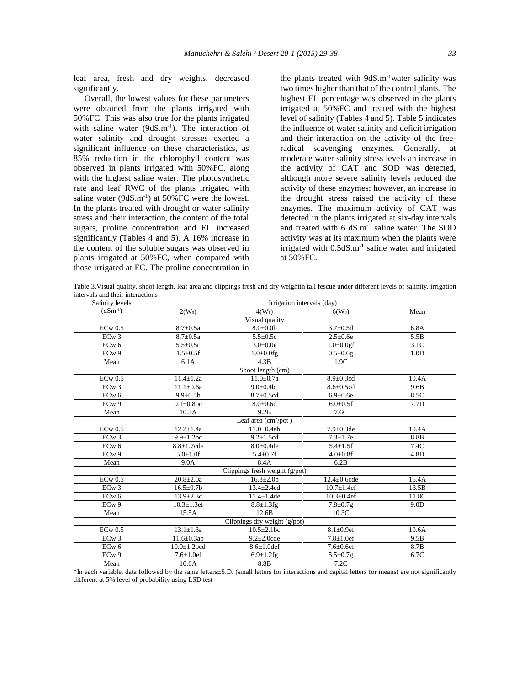leaf area, fresh and dry weights, decreased significantly.

Overall, the lowest values for these parameters were obtained from the plants irrigated with 50%FC. This was also true for the plants irrigated with saline water (9dS.m<sup>-1</sup>). The interaction of water salinity and drought stresses exerted a significant influence on these characteristics, as 85% reduction in the chlorophyll content was observed in plants irrigated with 50%FC, along with the highest saline water. The photosynthetic rate and leaf RWC of the plants irrigated with saline water  $(9dS.m^{-1})$  at  $50\%$  FC were the lowest. In the plants treated with drought or water salinity stress and their interaction, the content of the total sugars, proline concentration and EL increased significantly (Tables 4 and 5). A 16% increase in the content of the soluble sugars was observed in plants irrigated at 50%FC, when compared with those irrigated at FC. The proline concentration in the plants treated with  $9dS.m^{-1}$  water salinity was two times higher than that of the control plants. The highest EL percentage was observed in the plants irrigated at 50%FC and treated with the highest level of salinity (Tables 4 and 5). Table 5 indicates the influence of water salinity and deficit irrigation and their interaction on the activity of the freeradical scavenging enzymes. Generally, at moderate water salinity stress levels an increase in the activity of CAT and SOD was detected, although more severe salinity levels reduced the activity of these enzymes; however, an increase in the drought stress raised the activity of these enzymes. The maximum activity of CAT was detected in the plants irrigated at six-day intervals and treated with 6 dS.m<sup>-1</sup> saline water. The SOD activity was at its maximum when the plants were irrigated with 0.5dS.m<sup>-1</sup> saline water and irrigated at 50%FC.

Table 3.Visual quality, shoot length, leaf area and clippings fresh and dry weightin tall fescue under different levels of salinity, irrigation intervals and their interactions

| Salinity levels   | Irrigation intervals (day) |                                |                    |                  |
|-------------------|----------------------------|--------------------------------|--------------------|------------------|
| $(dSm^{-1})$      | $2(W_0)$                   | $4(W_1)$                       | $6(W_2)$           | Mean             |
|                   |                            | Visual quality                 |                    |                  |
| $ECw$ 0.5         | $8.7 + 0.5a$               | $8.0 \pm 0.0$                  | $3.7 \pm 0.5d$     | 6.8A             |
| ECw3              | $8.7 \pm 0.5a$             | $5.5 \pm 0.5c$                 | $2.5 \pm 0.6e$     | 5.5B             |
| ECw <sub>6</sub>  | $5.5 \pm 0.5c$             | $3.0 \pm 0.0e$                 | $1.0 \pm 0.0$ gf   | 3.1C             |
| EC <sub>w</sub> 9 | $1.5 \pm 0.5$ f            | $1.0\pm0.0$ fg                 | $0.5 \pm 0.6g$     | 1.0 <sub>D</sub> |
| Mean              | 6.1A                       | 4.3B                           | 1.9C               |                  |
|                   |                            | Shoot length (cm)              |                    |                  |
| $ECw$ 0.5         | $11.4 \pm 1.2a$            | $11.0 \pm 0.7a$                | $8.9 \pm 0.3$ cd   | 10.4A            |
| ECw3              | $11.1 \pm 0.6a$            | $9.0 \pm 0.4$ bc               | $8.6 \pm 0.5$ cd   | 9.6B             |
| ECw <sub>6</sub>  | $9.9 \pm 0.5$ b            | $8.7 \pm 0.5$ cd               | $6.9 \pm 0.6e$     | 8.5C             |
| EC <sub>w</sub> 9 | $9.1 \pm 0.8$ bc           | $8.0 + 0.6d$                   | $6.0 \pm 0.5$ f    | 7.7D             |
| Mean              | 10.3A                      | 9.2B                           | 7.6C               |                  |
|                   |                            | Leaf area $(cm^2/pot)$         |                    |                  |
| $ECw$ 0.5         | $12.2 \pm 1.4a$            | $11.0 \pm 0.4ab$               | $7.9 \pm 0.3$ de   | 10.4A            |
| ECw3              | $9.9 \pm 1.2$ bc           | $9.2 \pm 1.5$ cd               | $7.3 \pm 1.7e$     | 8.8B             |
| ECw <sub>6</sub>  | $8.8 + 1.7$ cde            | $8.0 \pm 0.4$ de               | $5.4 \pm 1.5$ f    | 7.4C             |
| EC <sub>w</sub> 9 | $5.0 \pm 1.0$ f            | $5.4 \pm 0.7$ f                | $4.0 \pm 0.8$ f    | 4.8D             |
| Mean              | 9.0A                       | 8.4A                           | 6.2B               |                  |
|                   |                            | Clippings fresh weight (g/pot) |                    |                  |
| $ECw$ 0.5         | $20.8 + 2.0a$              | $16.8 \pm 2.0$                 | $12.4 \pm 0.6$ cde | 16.4A            |
| ECw3              | $16.5 \pm 0.7$ b           | $13.4 \pm 2.4$ cd              | $10.7 \pm 1.4$ ef  | 13.5B            |
| ECw <sub>6</sub>  | $13.9 \pm 2.3c$            | $11.4 \pm 1.4$ de              | $10.3 \pm 0.4$ ef  | 11.8C            |
| ECw9              | $10.3 \pm 1.3$ ef          | $8.8 \pm 1.3$ fg               | $7.8 \pm 0.7$ g    | 9.0D             |
| Mean              | 15.5A                      | 12.6 <sub>B</sub>              | 10.3C              |                  |
|                   |                            | Clippings dry weight (g/pot)   |                    |                  |
| $ECw$ 0.5         | $13.1 \pm 1.3a$            | $10.5 \pm 2.1$ bc              | $8.1 \pm 0.9$ ef   | 10.6A            |
| ECw3              | $11.6 \pm 0.3$ ab          | $9.2 \pm 2.0$ cde              | $7.8 \pm 1.0$ ef   | 9.5B             |
| ECw <sub>6</sub>  | $10.0 \pm 1.2$ bcd         | $8.6 \pm 1.0$ def              | $7.6 \pm 0.6$ ef   | 8.7B             |
| ECw 9             | $7.6 \pm 1.0$ ef           | $6.9 \pm 1.2$ fg               | $5.5 \pm 0.7$ g    | 6.7C             |
| Mean              | 10.6A                      | 8.8B                           | 7.2C               |                  |

\*In each variable, data followed by the same letters±S.D. (small letters for interactions and capital letters for means) are not significantly different at 5% level of probability using LSD test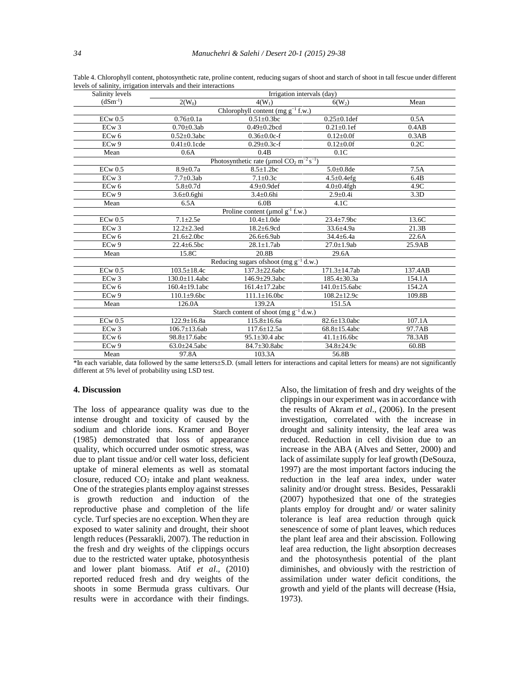| Salinity levels   | Irrigation intervals (day) |                                                                    |                      |         |
|-------------------|----------------------------|--------------------------------------------------------------------|----------------------|---------|
| $(dSm^{-1})$      | $2(W_0)$                   | $4(W_1)$                                                           | $6(W_2)$             | Mean    |
|                   |                            | Chlorophyll content (mg $g^{-1}$ f.w.)                             |                      |         |
| $ECw$ 0.5         | $0.76 \pm 0.1a$            | $0.51 \pm 0.3$ bc                                                  | $0.25 \pm 0.1$ def   | 0.5A    |
| ECw <sub>3</sub>  | $0.70 \pm 0.3$ ab          | $0.49 \pm 0.2$ bcd                                                 | $0.21 \pm 0.1$ ef    | 0.4AB   |
| EC <sub>w</sub> 6 | $0.52 \pm 0.3$ abc         | $0.36 \pm 0.0c-f$                                                  | $0.12{\pm}0.0f$      | 0.3AB   |
| EC <sub>w</sub> 9 | $0.41 \pm 0.1$ cde         | $0.29 \pm 0.3c$ -f                                                 | $0.12{\pm}0.0f$      | 0.2C    |
| Mean              | 0.6A                       | 0.4B                                                               | 0.1C                 |         |
|                   |                            | Photosynthetic rate (µmol $CO_2$ m <sup>-2</sup> s <sup>-1</sup> ) |                      |         |
| $ECw$ 0.5         | $8.9 \pm 0.7a$             | $8.5 \pm 1.2$ bc                                                   | $5.0 \pm 0.8$ de     | 7.5A    |
| ECw3              | $7.7 \pm 0.3$ ab           | $7.1 \pm 0.3c$                                                     | $4.5 \pm 0.4$ efg    | 6.4B    |
| ECw <sub>6</sub>  | $5.8 + 0.7d$               | $4.9 \pm 0.9$ def                                                  | $4.0 \pm 0.4$ fgh    | 4.9C    |
| ECw9              | $3.6 \pm 0.6$ ghi          | $3.4\pm0.6$ hi                                                     | $2.9 \pm 0.4i$       | 3.3D    |
| Mean              | 6.5A                       | 6.0B                                                               | 4.1C                 |         |
|                   |                            | Proline content ( $\mu$ mol $g^{-1}$ f.w.)                         |                      |         |
| $ECw$ 0.5         | $7.1 + 2.5e$               | $10.4 \pm 1.0$ de                                                  | 23.4±7.9bc           | 13.6C   |
| ECw3              | $12.2 \pm 2.3$ ed          | $18.2 \pm 6.9$ cd                                                  | 33.6±4.9a            | 21.3B   |
| $ECw$ 6           | $21.6 \pm 2.0$ bc          | $26.6 \pm 6.9$ ab                                                  | $34.4 \pm 6.4a$      | 22.6A   |
| ECw 9             | $22.4 \pm 6.5$ bc          | $28.1 \pm 1.7$ ab                                                  | $27.0 \pm 1.9$ ab    | 25.9AB  |
| Mean              | 15.8C                      | 20.8 <sub>B</sub>                                                  | 29.6A                |         |
|                   |                            | Reducing sugars of<br>shoot (mg $g^{-1}$ d.w.)                     |                      |         |
| $ECw$ 0.5         | $103.5 \pm 18.4c$          | 137.3±22.6abc                                                      | 171.3±14.7ab         | 137.4AB |
| ECw3              | 130.0±11.4abc              | $146.9 \pm 29.3$ abc                                               | $185.4 \pm 30.3a$    | 154.1A  |
| EC <sub>w</sub> 6 | $160.4 \pm 19.1$ abc       | $161.4 \pm 17.2$ abc                                               | $141.0 \pm 15.6$ abc | 154.2A  |
| ECw9              | $110.1\pm9.6$ bc           | $111.1 \pm 16.0$ bc                                                | $108.2 \pm 12.9c$    | 109.8B  |
| Mean              | 126.0A                     | 139.2A                                                             | 151.5A               |         |
|                   |                            | Starch content of shoot (mg $g^{-1}$ d.w.)                         |                      |         |
| $ECw$ 0.5         | $122.9 \pm 16.8a$          | $115.8 \pm 16.6a$                                                  | $82.6 \pm 13.0$ abc  | 107.1A  |
| ECw3              | $106.7 \pm 13.6$ ab        | 117.6±12.5a                                                        | $68.8 \pm 15.4$ abc  | 97.7AB  |
| EC <sub>w</sub> 6 | $98.8 \pm 17.6$ abc        | $95.1 \pm 30.4$ abc                                                | $41.1 \pm 16.6$ bc   | 78.3AB  |
| ECw9              | $63.0 \pm 24.5$ abc        | $84.7 \pm 30.8$ abc                                                | $34.8 \pm 24.9c$     | 60.8B   |
| Mean              | 97.8A                      | 103.3A                                                             | 56.8B                |         |

Table 4. Chlorophyll content, photosynthetic rate, proline content, reducing sugars of shoot and starch of shoot in tall fescue under different levels of salinity, irrigation intervals and their interactions

\*In each variable, data followed by the same letters±S.D. (small letters for interactions and capital letters for means) are not significantly different at 5% level of probability using LSD test.

#### **4. Discussion**

The loss of appearance quality was due to the intense drought and toxicity of caused by the sodium and chloride ions. Kramer and Boyer (1985) demonstrated that loss of appearance quality, which occurred under osmotic stress, was due to plant tissue and/or cell water loss, deficient uptake of mineral elements as well as stomatal closure, reduced CO<sub>2</sub> intake and plant weakness. One of the strategies plants employ against stresses is growth reduction and induction of the reproductive phase and completion of the life cycle. Turf species are no exception. When they are exposed to water salinity and drought, their shoot length reduces (Pessarakli, 2007). The reduction in the fresh and dry weights of the clippings occurs due to the restricted water uptake, photosynthesis and lower plant biomass. Atif *et al*., (2010) reported reduced fresh and dry weights of the shoots in some Bermuda grass cultivars. Our results were in accordance with their findings.

Also, the limitation of fresh and dry weights of the clippings in our experiment was in accordance with the results of Akram *et al*., (2006). In the present investigation, correlated with the increase in drought and salinity intensity, the leaf area was reduced. Reduction in cell division due to an increase in the ABA (Alves and Setter, 2000) and lack of assimilate supply for leaf growth (DeSouza, 1997) are the most important factors inducing the reduction in the leaf area index, under water salinity and/or drought stress. Besides, Pessarakli (2007) hypothesized that one of the strategies plants employ for drought and/ or water salinity tolerance is leaf area reduction through quick senescence of some of plant leaves, which reduces the plant leaf area and their abscission. Following leaf area reduction, the light absorption decreases and the photosynthesis potential of the plant diminishes, and obviously with the restriction of assimilation under water deficit conditions, the growth and yield of the plants will decrease (Hsia, 1973).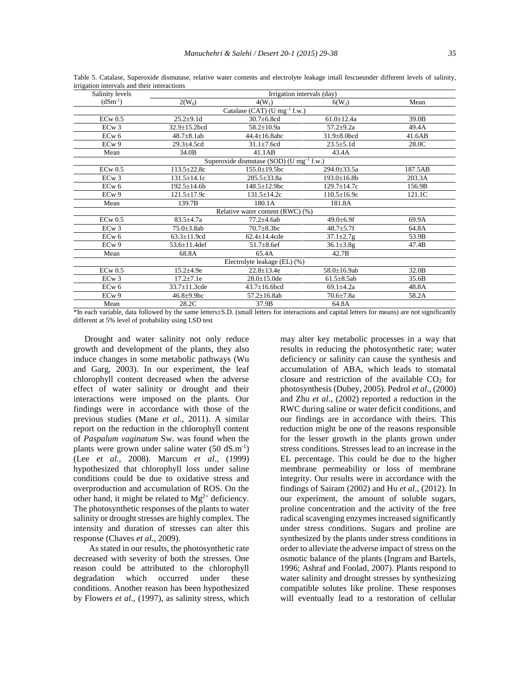| Salinity levels   | Irrigation intervals (day) |                                                      |                    |         |
|-------------------|----------------------------|------------------------------------------------------|--------------------|---------|
| $(dSm^{-1})$      | $2(W_0)$                   | $4(W_1)$                                             | $6(W_2)$           | Mean    |
|                   |                            | Catalase (CAT) (U mg <sup>-1</sup> f.w.)             |                    |         |
| $ECw$ 0.5         | $25.2 \pm 9.1$ d           | $30.7 \pm 6.8$ cd                                    | $61.0 \pm 12.4a$   | 39.0B   |
| ECw3              | $32.9 \pm 15.2$ bcd        | $58.2 \pm 10.9a$                                     | $57.2 \pm 9.2a$    | 49.4A   |
| ECw <sub>6</sub>  | $48.7 \pm 8.1$ ab          | $44.4 \pm 16.8$ abc                                  | $31.9 \pm 8.0$ bcd | 41.6AB  |
| ECw9              | $29.3 + 4.5cd$             | $31.1 \pm 7.6$ cd                                    | $23.5 \pm 5.1d$    | 28.0C   |
| Mean              | 34.0B                      | 41.1AB                                               | 43.4A              |         |
|                   |                            | Superoxide dismutase (SOD) (U mg <sup>-1</sup> f.w.) |                    |         |
| $ECw$ 0.5         | $113.5 \pm 22.8c$          | $155.0 \pm 19.5$ bc                                  | $294.0 \pm 33.5a$  | 187.5AB |
| ECw3              | $131.5 \pm 14.1c$          | $285.5 \pm 33.8a$                                    | $193.0 \pm 16.8$ b | 203.3A  |
| $ECw$ 6           | $192.5 \pm 14.6b$          | $148.5 \pm 12.9$ bc                                  | $129.7 \pm 14.7c$  | 156.9B  |
| EC <sub>w</sub> 9 | $121.5 \pm 17.9c$          | $131.5 \pm 14.2c$                                    | $110.5 \pm 16.9c$  | 121.1C  |
| Mean              | 139.7B                     | 180.1A                                               | 181.8A             |         |
|                   |                            | Relative water content (RWC) (%)                     |                    |         |
| $ECw$ 0.5         | $83.5 \pm 4.7a$            | $77.2 + 4.6ab$                                       | $49.0 \pm 6.9$ f   | 69.9A   |
| ECw3              | $75.0 \pm 3.8$ ab          | $70.7 \pm 8.3$ bc                                    | $48.7 \pm 5.7$ f   | 64.8A   |
| EC <sub>w</sub> 6 | $63.3 \pm 11.9$ cd         | $62.4 \pm 14.4$ cde                                  | $37.1 \pm 2.7$ g   | 53.9B   |
| EC <sub>w</sub> 9 | $53.6 \pm 11.4$ def        | $51.7 \pm 8.6$ ef                                    | $36.1 \pm 3.8$ g   | 47.4B   |
| Mean              | 68.8A                      | 65.4A                                                | 42.7B              |         |
|                   |                            | Electrolyte leakage (EL) (%)                         |                    |         |
| $ECw$ 0.5         | $15.2 \pm 4.9e$            | $22.8 \pm 13.4e$                                     | $58.0 \pm 16.9$ ab | 32.0B   |
| ECw3              | $17.2 \pm 7.1e$            | $28.0 \pm 15.0$ de                                   | $61.5 \pm 8.5$ ab  | 35.6B   |
| EC <sub>w</sub> 6 | $33.7 \pm 11.3$ cde        | $43.7 \pm 16.6$ bcd                                  | 69.1 $\pm$ 4.2a    | 48.8A   |
| ECw9              | $46.8 + 9.9$ bc            | $57.2 \pm 16.8$ ab                                   | $70.6{\pm}7.8a$    | 58.2A   |
| Mean              | 28.2C                      | 37.9B                                                | 64.8A              |         |

Table 5. Catalase, Superoxide dismutase, relative water contents and electrolyte leakage intall fescueunder different levels of salinity, irrigation intervals and their interactions

\*In each variable, data followed by the same letters±S.D. (small letters for interactions and capital letters for means) are not significantly different at 5% level of probability using LSD test

Drought and water salinity not only reduce growth and development of the plants, they also induce changes in some metabolic pathways (Wu and Garg, 2003). In our experiment, the leaf chlorophyll content decreased when the adverse effect of water salinity or drought and their interactions were imposed on the plants. Our findings were in accordance with those of the previous studies (Mane *et al*., 2011). A similar report on the reduction in the chlorophyll content of *Paspalum vaginatum* Sw. was found when the plants were grown under saline water (50 dS.m-1) (Lee *et al.*, 2008). Marcum *et al*., (1999) hypothesized that chlorophyll loss under saline conditions could be due to oxidative stress and overproduction and accumulation of ROS. On the other hand, it might be related to  $Mg^{2+}$  deficiency. The photosynthetic responses of the plants to water salinity or drought stresses are highly complex. The intensity and duration of stresses can alter this response (Chaves *et al*., 2009).

As stated in our results, the photosynthetic rate decreased with severity of both the stresses. One reason could be attributed to the chlorophyll degradation which occurred under these conditions. Another reason has been hypothesized by Flowers *et al*., (1997), as salinity stress, which may alter key metabolic processes in a way that results in reducing the photosynthetic rate; water deficiency or salinity can cause the synthesis and accumulation of ABA, which leads to stomatal closure and restriction of the available  $CO<sub>2</sub>$  for photosynthesis (Dubey, 2005). Pedrol *et al*., (2000) and Zhu *et al*., (2002) reported a reduction in the RWC during saline or water deficit conditions, and our findings are in accordance with theirs. This reduction might be one of the reasons responsible for the lesser growth in the plants grown under stress conditions. Stresses lead to an increase in the EL percentage. This could be due to the higher membrane permeability or loss of membrane integrity. Our results were in accordance with the findings of Sairam (2002) and Hu *et al*., (2012). In our experiment, the amount of soluble sugars, proline concentration and the activity of the free radical scavenging enzymes increased significantly under stress conditions. Sugars and proline are synthesized by the plants under stress conditions in order to alleviate the adverse impact of stress on the osmotic balance of the plants (Ingram and Bartels, 1996; Ashraf and Foolad, 2007). Plants respond to water salinity and drought stresses by synthesizing compatible solutes like proline. These responses will eventually lead to a restoration of cellular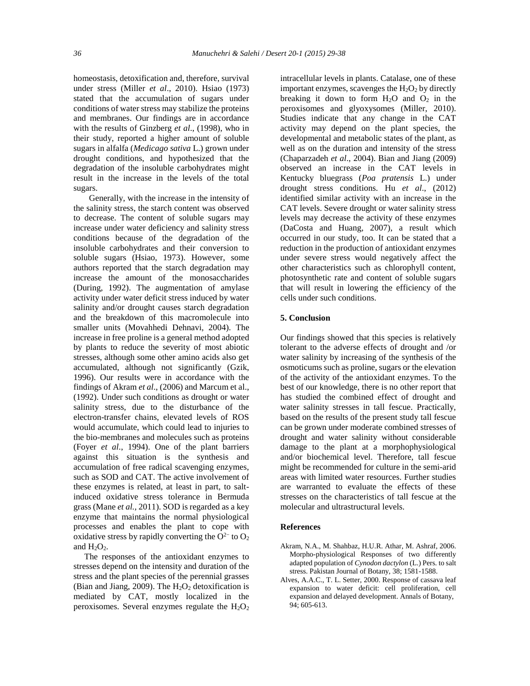homeostasis, detoxification and, therefore, survival under stress (Miller *et al*., 2010). Hsiao (1973) stated that the accumulation of sugars under conditions of water stress may stabilize the proteins and membranes. Our findings are in accordance with the results of Ginzberg *et al*., (1998), who in their study, reported a higher amount of soluble sugars in alfalfa (*Medicago sativa* L.) grown under drought conditions, and hypothesized that the degradation of the insoluble carbohydrates might result in the increase in the levels of the total sugars.

Generally, with the increase in the intensity of the salinity stress, the starch content was observed to decrease. The content of soluble sugars may increase under water deficiency and salinity stress conditions because of the degradation of the insoluble carbohydrates and their conversion to soluble sugars (Hsiao, 1973). However, some authors reported that the starch degradation may increase the amount of the monosaccharides (During, 1992). The augmentation of amylase activity under water deficit stress induced by water salinity and/or drought causes starch degradation and the breakdown of this macromolecule into smaller units (Movahhedi Dehnavi, 2004). The increase in free proline is a general method adopted by plants to reduce the severity of most abiotic stresses, although some other amino acids also get accumulated, although not significantly (Gzik, 1996). Our results were in accordance with the findings of Akram *et al*., (2006) and Marcum et al., (1992). Under such conditions as drought or water salinity stress, due to the disturbance of the electron-transfer chains, elevated levels of ROS would accumulate, which could lead to injuries to the bio-membranes and molecules such as proteins (Foyer *et al*., 1994). One of the plant barriers against this situation is the synthesis and accumulation of free radical scavenging enzymes, such as SOD and CAT. The active involvement of these enzymes is related, at least in part, to saltinduced oxidative stress tolerance in Bermuda grass (Mane *et al.,* 2011). SOD is regarded as a key enzyme that maintains the normal physiological processes and enables the plant to cope with oxidative stress by rapidly converting the  $O^{2-}$  to  $O_2$ and  $H_2O_2$ .

The responses of the antioxidant enzymes to stresses depend on the intensity and duration of the stress and the plant species of the perennial grasses (Bian and Jiang, 2009). The  $H_2O_2$  detoxification is mediated by CAT, mostly localized in the peroxisomes. Several enzymes regulate the  $H_2O_2$  intracellular levels in plants. Catalase, one of these important enzymes, scavenges the  $H_2O_2$  by directly breaking it down to form  $H_2O$  and  $O_2$  in the peroxisomes and glyoxysomes (Miller, 2010). Studies indicate that any change in the CAT activity may depend on the plant species, the developmental and metabolic states of the plant, as well as on the duration and intensity of the stress (Chaparzadeh *et al*., 2004). Bian and Jiang (2009) observed an increase in the CAT levels in Kentucky bluegrass (*Poa pratensis* L.) under drought stress conditions. Hu *et al*., (2012) identified similar activity with an increase in the CAT levels. Severe drought or water salinity stress levels may decrease the activity of these enzymes (DaCosta and Huang, 2007), a result which occurred in our study, too. It can be stated that a reduction in the production of antioxidant enzymes under severe stress would negatively affect the other characteristics such as chlorophyll content, photosynthetic rate and content of soluble sugars that will result in lowering the efficiency of the cells under such conditions.

#### **5. Conclusion**

Our findings showed that this species is relatively tolerant to the adverse effects of drought and /or water salinity by increasing of the synthesis of the osmoticums such as proline, sugars or the elevation of the activity of the antioxidant enzymes. To the best of our knowledge, there is no other report that has studied the combined effect of drought and water salinity stresses in tall fescue. Practically, based on the results of the present study tall fescue can be grown under moderate combined stresses of drought and water salinity without considerable damage to the plant at a morphophysiological and/or biochemical level. Therefore, tall fescue might be recommended for culture in the semi-arid areas with limited water resources. Further studies are warranted to evaluate the effects of these stresses on the characteristics of tall fescue at the molecular and ultrastructural levels.

#### **References**

- Akram, N.A., M. Shahbaz, H.U.R. Athar, M. Ashraf, 2006. Morpho-physiological Responses of two differently adapted population of *Cynodon dactylon* (L.) Pers. to salt stress. Pakistan Journal of Botany, 38; 1581-1588.
- Alves, A.A.C., T. L. Setter, 2000. Response of cassava leaf expansion to water deficit: cell proliferation, cell expansion and delayed development. Annals of Botany, 94; 605-613.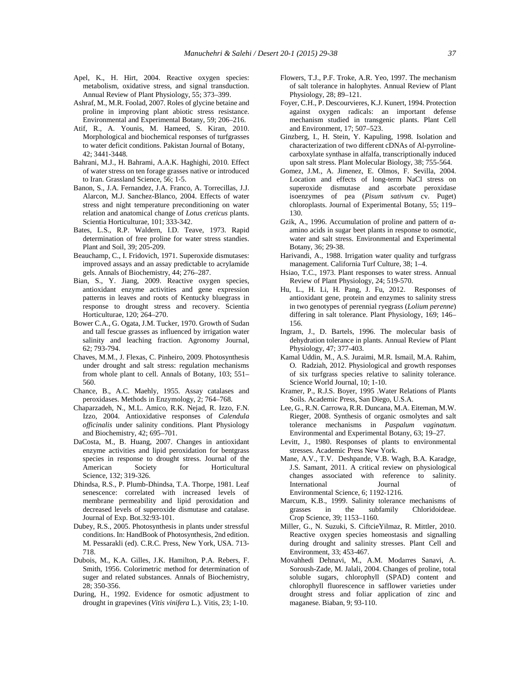- Apel, K., H. Hirt, 2004. Reactive oxygen species: metabolism, oxidative stress, and signal transduction. Annual Review of Plant Physiology, 55; 373–399.
- Ashraf, M., M.R. Foolad, 2007. Roles of glycine betaine and proline in improving plant abiotic stress resistance. Environmental and Experimental Botany, 59; 206–216.
- Atif, R., A. Younis, M. Hameed, S. Kiran, 2010. Morphological and biochemical responses of turfgrasses to water deficit conditions. Pakistan Journal of Botany, 42; 3441-3448.
- Bahrani, M.J., H. Bahrami, A.A.K. Haghighi, 2010. Effect of water stress on ten forage grasses native or introduced to Iran. Grassland Science, 56; 1-5.
- Banon, S., J.A. Fernandez, J.A. Franco, A. Torrecillas, J.J. Alarcon, M.J. Sanchez-Blanco, 2004. Effects of water stress and night temperature preconditioning on water relation and anatomical change of *Lotus creticus* plants. Scientia Horticulturae, 101; 333-342.
- Bates, L.S., R.P. Waldern, I.D. Teave, 1973. Rapid determination of free proline for water stress standies. Plant and Soil, 39; 205-209.
- Beauchamp, C., I. Fridovich, 1971. Superoxide dismutases: improved assays and an assay predictable to acrylamide gels. Annals of Biochemistry, 44; 276–287.
- Bian, S., Y. Jiang, 2009. Reactive oxygen species, antioxidant enzyme activities and gene expression patterns in leaves and roots of Kentucky bluegrass in response to drought stress and recovery. Scientia Horticulturae, 120; 264–270.
- Bower C.A., G. Ogata, J.M. Tucker, 1970. Growth of Sudan and tall fescue grasses as influenced by irrigation water salinity and leaching fraction. Agronomy Journal, 62; 793-794.
- Chaves, M.M., J. Flexas, C. Pinheiro, 2009. Photosynthesis under drought and salt stress: regulation mechanisms from whole plant to cell. Annals of Botany, 103; 551– 560.
- Chance, B., A.C. Maehly, 1955. Assay catalases and peroxidases. Methods in Enzymology, 2; 764–768.
- Chaparzadeh, N., M.L. Amico, R.K. Nejad, R. Izzo, F.N. Izzo, 2004. Antioxidative responses of *Calendula officinalis* under salinity conditions. Plant Physiology and Biochemistry, 42; 695–701.
- DaCosta, M., B. Huang, 2007. Changes in antioxidant enzyme activities and lipid peroxidation for bentgrass species in response to drought stress. Journal of the American Society for Horticultural Science, 132; 319-326.
- Dhindsa, R.S., P. Plumb-Dhindsa, T.A. Thorpe, 1981. Leaf senescence: correlated with increased levels of membrane permeability and lipid peroxidation and decreased levels of superoxide dismutase and catalase. Journal of Exp. Bot.32:93-101.
- Dubey, R.S., 2005. Photosynthesis in plants under stressful conditions. In: HandBook of Photosynthesis, 2nd edition. M. Pessarakli (ed). C.R.C. Press, New York, USA. 713- 718.
- Dubois, M., K.A. Gilles, J.K. Hamilton, P.A. Rebers, F. Smith, 1956. Colorimetric method for determination of suger and related substances. Annals of Biochemistry, 28; 350-356.
- During, H., 1992. Evidence for osmotic adjustment to drought in grapevines (*Vitis vinifera* L.). Vitis, 23; 1-10.
- Flowers, T.J., P.F. Troke, A.R. Yeo, 1997. The mechanism of salt tolerance in halophytes. Annual Review of Plant Physiology, 28; 89–121.
- Foyer, C.H., P. Descourvieres, K.J. Kunert, 1994. Protection against oxygen radicals: an important defense mechanism studied in transgenic plants. Plant Cell and Environment, 17; 507–523.
- Ginzberg, I., H. Stein, Y. Kapuling, 1998. Isolation and characterization of two different cDNAs of Al-pyrroline carboxylate synthase in alfalfa, transcriptionally induced upon salt stress. Plant Molecular Biology, 38; 755-564.
- Gomez, J.M., A. Jimenez, E. Olmos, F. Sevilla, 2004. Location and effects of long-term NaCl stress on superoxide dismutase and ascorbate peroxidase isoenzymes of pea (*Pisum sativum* cv. Puget) chloroplasts. Journal of Experimental Botany, 55; 119– 130.
- Gzik, A., 1996. Accumulation of proline and pattern of amino acids in sugar beet plants in response to osmotic, water and salt stress. Environmental and Experimental Botany, 36; 29-38.
- Harivandi, A., 1988. Irrigation water quality and turfgrass management. California Turf Culture, 38; 1–4.
- Hsiao, T.C., 1973. Plant responses to water stress. Annual Review of Plant Physiology, 24; 519-570.
- Hu, L., H. Li, H. Pang, J. Fu, 2012. Responses of antioxidant gene, protein and enzymes to salinity stress in two genotypes of perennial ryegrass (*Lolium perenne*) differing in salt tolerance. Plant Physiology, 169; 146– 156.
- Ingram, J., D. Bartels, 1996. The molecular basis of dehydration tolerance in plants. Annual Review of Plant Physiology, 47; 377-403.
- Kamal Uddin, M., A.S. Juraimi, M.R. Ismail, M.A. Rahim, O. Radziah, 2012. Physiological and growth responses of six turfgrass species relative to salinity tolerance. Science World Journal, 10; 1-10.
- Kramer, P., R.J.S. Boyer, 1995 .Water Relations of Plants Soils. Academic Press, San Diego, U.S.A.
- Lee, G., R.N. Carrowa, R.R. Duncana, M.A. Eiteman, M.W. Rieger, 2008. Synthesis of organic osmolytes and salt tolerance mechanisms in *Paspalum vaginatum*. Environmental and Experimental Botany, 63; 19–27.
- Levitt, J., 1980. Responses of plants to environmental stresses. Academic Press New York.
- Mane, A.V., T.V. Deshpande, V.B. Wagh, B.A. Karadge, J.S. Samant, 2011. A critical review on physiological changes associated with reference to salinity. International Journal of Environmental Science, 6; 1192-1216.
- Marcum, K.B., 1999. Salinity tolerance mechanisms of grasses in the subfamily Chloridoideae. Crop Science, 39; 1153–1160.
- Miller, G., N. Suzuki, S. CiftcieYilmaz, R. Mittler, 2010. Reactive oxygen species homeostasis and signalling during drought and salinity stresses. Plant Cell and Environment, 33; 453-467.
- Movahhedi Dehnavi, M., A.M. Modarres Sanavi, A. Soroush-Zade, M. Jalali, 2004. Changes of proline, total soluble sugars, chlorophyll (SPAD) content and chlorophyll fluorescence in safflower varieties under drought stress and foliar application of zinc and maganese. Biaban, 9; 93-110.